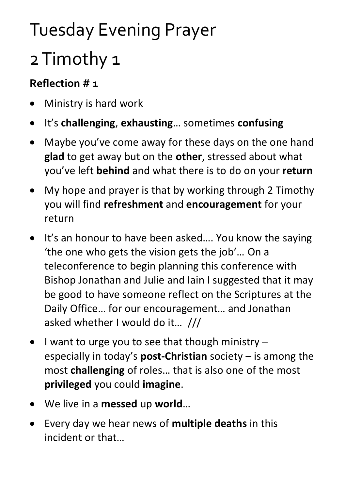## Tuesday Evening Prayer

## 2 Timothy 1

## **Reflection # 1**

- Ministry is hard work
- It's **challenging**, **exhausting**… sometimes **confusing**
- Maybe you've come away for these days on the one hand **glad** to get away but on the **other**, stressed about what you've left **behind** and what there is to do on your **return**
- My hope and prayer is that by working through 2 Timothy you will find **refreshment** and **encouragement** for your return
- It's an honour to have been asked.... You know the saying 'the one who gets the vision gets the job'… On a teleconference to begin planning this conference with Bishop Jonathan and Julie and Iain I suggested that it may be good to have someone reflect on the Scriptures at the Daily Office… for our encouragement… and Jonathan asked whether I would do it… ///
- I want to urge you to see that though ministry especially in today's **post-Christian** society – is among the most **challenging** of roles… that is also one of the most **privileged** you could **imagine**.
- We live in a **messed** up **world**…
- Every day we hear news of **multiple deaths** in this incident or that…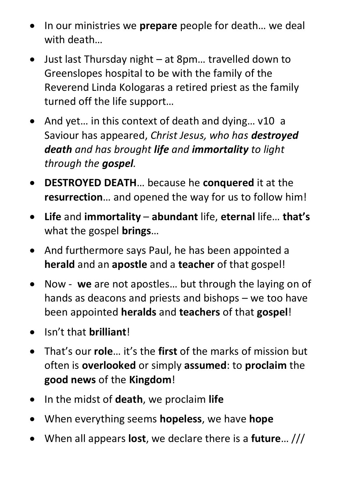- In our ministries we **prepare** people for death… we deal with death…
- Just last Thursday night at 8pm… travelled down to Greenslopes hospital to be with the family of the Reverend Linda Kologaras a retired priest as the family turned off the life support…
- And yet... in this context of death and dying... v10 a Saviour has appeared, *Christ Jesus, who has destroyed death and has brought life and immortality to light through the gospel.*
- **DESTROYED DEATH**… because he **conquered** it at the **resurrection**… and opened the way for us to follow him!
- **Life** and **immortality abundant** life, **eternal** life… **that's** what the gospel **brings**…
- And furthermore says Paul, he has been appointed a **herald** and an **apostle** and a **teacher** of that gospel!
- Now **we** are not apostles… but through the laying on of hands as deacons and priests and bishops – we too have been appointed **heralds** and **teachers** of that **gospel**!
- Isn't that **brilliant**!
- That's our **role**… it's the **first** of the marks of mission but often is **overlooked** or simply **assumed**: to **proclaim** the **good news** of the **Kingdom**!
- In the midst of **death**, we proclaim **life**
- When everything seems **hopeless**, we have **hope**
- When all appears **lost**, we declare there is a **future**… ///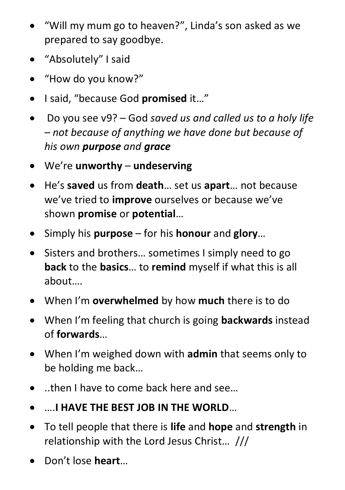- "Will my mum go to heaven?", Linda's son asked as we prepared to say goodbye.
- "Absolutely" I said
- "How do you know?"
- I said, "because God **promised** it…"
- Do you see v9? God *saved us and called us to a holy life – not because of anything we have done but because of his own purpose and grace*
- We're **unworthy undeserving**
- He's **saved** us from **death**… set us **apart**… not because we've tried to **improve** ourselves or because we've shown **promise** or **potential**…
- Simply his **purpose** for his **honour** and **glory**…
- Sisters and brothers... sometimes I simply need to go **back** to the **basics**… to **remind** myself if what this is all about….
- When I'm **overwhelmed** by how **much** there is to do
- When I'm feeling that church is going **backwards** instead of **forwards**…
- When I'm weighed down with **admin** that seems only to be holding me back…
- ..then I have to come back here and see…
- ….**I HAVE THE BEST JOB IN THE WORLD**…
- To tell people that there is **life** and **hope** and **strength** in relationship with the Lord Jesus Christ… ///
- Don't lose **heart**…